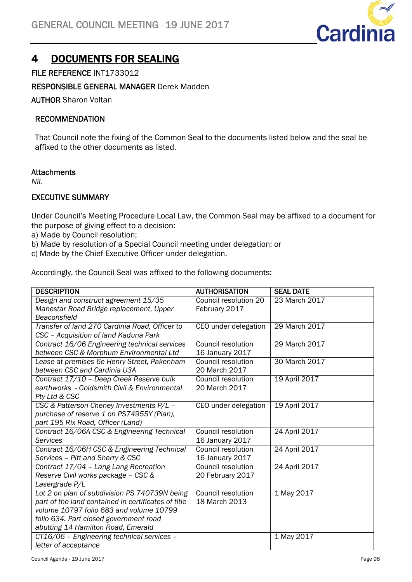

# 4 DOCUMENTS FOR SEALING

## FILE REFERENCE INT1733012

### RESPONSIBLE GENERAL MANAGER Derek Madden

AUTHOR Sharon Voltan

### RECOMMENDATION

That Council note the fixing of the Common Seal to the documents listed below and the seal be affixed to the other documents as listed.

#### **Attachments**

*Nil*.

#### EXECUTIVE SUMMARY

Under Council's Meeting Procedure Local Law, the Common Seal may be affixed to a document for the purpose of giving effect to a decision:

- a) Made by Council resolution;
- b) Made by resolution of a Special Council meeting under delegation; or
- c) Made by the Chief Executive Officer under delegation.

Accordingly, the Council Seal was affixed to the following documents:

| <b>DESCRIPTION</b>                                  | <b>AUTHORISATION</b>      | <b>SEAL DATE</b> |
|-----------------------------------------------------|---------------------------|------------------|
| Design and construct agreement 15/35                | Council resolution 20     | 23 March 2017    |
| Manestar Road Bridge replacement, Upper             | February 2017             |                  |
| Beaconsfield                                        |                           |                  |
| Transfer of land 270 Cardinia Road, Officer to      | CEO under delegation      | 29 March 2017    |
| CSC - Acquisition of land Kaduna Park               |                           |                  |
| Contract 16/06 Engineering technical services       | Council resolution        | 29 March 2017    |
| between CSC & Morphum Environmental Ltd             | 16 January 2017           |                  |
| Lease at premises 6e Henry Street, Pakenham         | Council resolution        | 30 March 2017    |
| between CSC and Cardinia U3A                        | 20 March 2017             |                  |
| Contract 17/10 - Deep Creek Reserve bulk            | Council resolution        | 19 April 2017    |
| earthworks - Goldsmith Civil & Environmental        | 20 March 2017             |                  |
| Pty Ltd & CSC                                       |                           |                  |
| CSC & Patterson Cheney Investments P/L -            | CEO under delegation      | 19 April 2017    |
| purchase of reserve 1 on PS74955Y (Plan),           |                           |                  |
| part 195 Rix Road, Officer (Land)                   |                           |                  |
| Contract 16/06A CSC & Engineering Technical         | <b>Council resolution</b> | 24 April 2017    |
| Services                                            | 16 January 2017           |                  |
| Contract 16/06H CSC & Engineering Technical         | Council resolution        | 24 April 2017    |
| Services - Pitt and Sherry & CSC                    | 16 January 2017           |                  |
| Contract 17/04 - Lang Lang Recreation               | Council resolution        | 24 April 2017    |
| Reserve Civil works package - CSC &                 | 20 February 2017          |                  |
| Lasergrade P/L                                      |                           |                  |
| Lot 2 on plan of subdivision PS 740739N being       | Council resolution        | 1 May 2017       |
| part of the land contained in certificates of title | 18 March 2013             |                  |
| volume 10797 folio 683 and volume 10799             |                           |                  |
| folio 634. Part closed government road              |                           |                  |
| abutting 14 Hamilton Road, Emerald                  |                           |                  |
| CT16/06 - Engineering technical services -          |                           | 1 May 2017       |
| letter of acceptance                                |                           |                  |